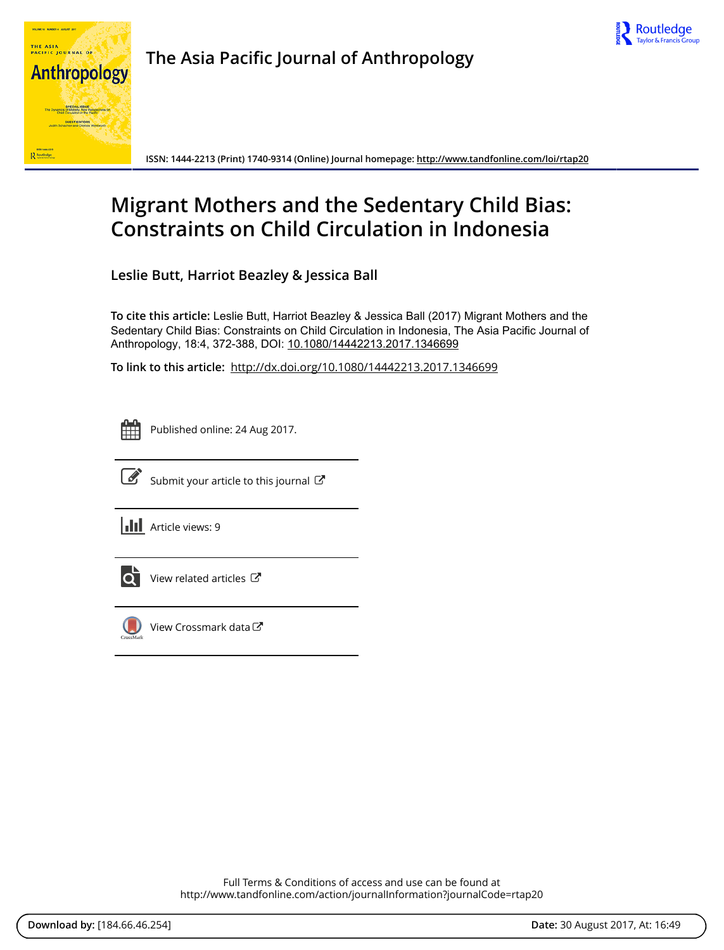



**The Asia Pacific Journal of Anthropology**

**ISSN: 1444-2213 (Print) 1740-9314 (Online) Journal homepage:<http://www.tandfonline.com/loi/rtap20>**

## **Migrant Mothers and the Sedentary Child Bias: Constraints on Child Circulation in Indonesia**

**Leslie Butt, Harriot Beazley & Jessica Ball**

**To cite this article:** Leslie Butt, Harriot Beazley & Jessica Ball (2017) Migrant Mothers and the Sedentary Child Bias: Constraints on Child Circulation in Indonesia, The Asia Pacific Journal of Anthropology, 18:4, 372-388, DOI: [10.1080/14442213.2017.1346699](http://www.tandfonline.com/action/showCitFormats?doi=10.1080/14442213.2017.1346699)

**To link to this article:** <http://dx.doi.org/10.1080/14442213.2017.1346699>

Published online: 24 Aug 2017.



 $\overrightarrow{S}$  [Submit your article to this journal](http://www.tandfonline.com/action/authorSubmission?journalCode=rtap20&show=instructions)  $\overrightarrow{S}$ 

**III** Article views: 9



 $\overline{Q}$  [View related articles](http://www.tandfonline.com/doi/mlt/10.1080/14442213.2017.1346699)  $\overline{C}$ 



 $\bigcirc$  [View Crossmark data](http://crossmark.crossref.org/dialog/?doi=10.1080/14442213.2017.1346699&domain=pdf&date_stamp=2017-08-24) $\mathbb{Z}$ 

Full Terms & Conditions of access and use can be found at <http://www.tandfonline.com/action/journalInformation?journalCode=rtap20>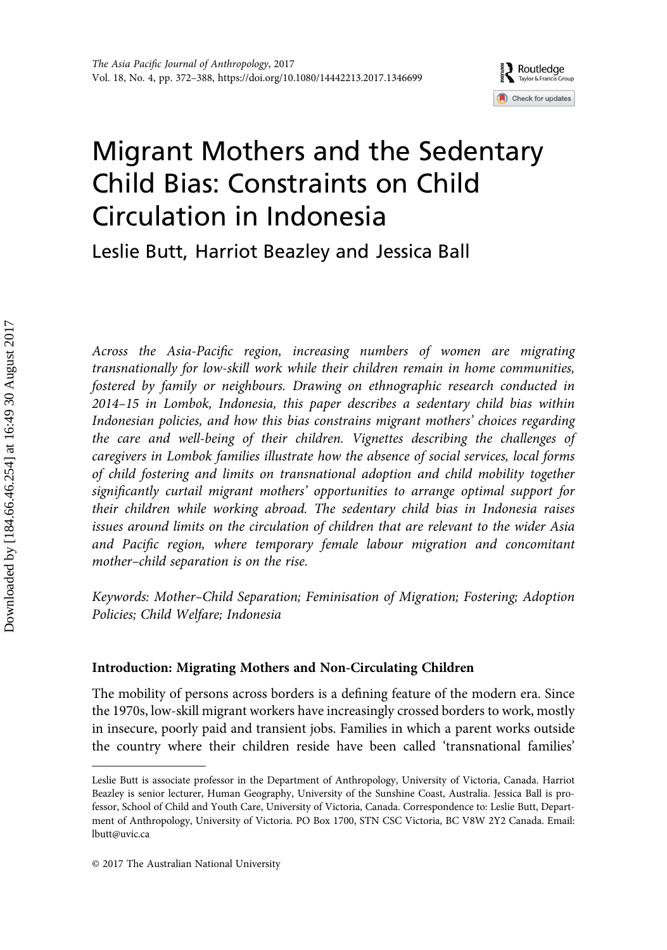

# <span id="page-1-0"></span>Migrant Mothers and the Sedentary Child Bias: Constraints on Child Circulation in Indonesia

Leslie Butt, Harriot Beazley and Jessica Ball

Across the Asia-Pacific region, increasing numbers of women are migrating transnationally for low-skill work while their children remain in home communities, fostered by family or neighbours. Drawing on ethnographic research conducted in 2014–15 in Lombok, Indonesia, this paper describes a sedentary child bias within Indonesian policies, and how this bias constrains migrant mothers' choices regarding the care and well-being of their children. Vignettes describing the challenges of caregivers in Lombok families illustrate how the absence of social services, local forms of child fostering and limits on transnational adoption and child mobility together significantly curtail migrant mothers' opportunities to arrange optimal support for their children while working abroad. The sedentary child bias in Indonesia raises issues around limits on the circulation of children that are relevant to the wider Asia and Pacific region, where temporary female labour migration and concomitant mother–child separation is on the rise.

Keywords: Mother–Child Separation; Feminisation of Migration; Fostering; Adoption Policies; Child Welfare; Indonesia

### Introduction: Migrating Mothers and Non-Circulating Children

The mobility of persons across borders is a defining feature of the modern era. Since the 1970s, low-skill migrant workers have increasingly crossed borders to work, mostly in insecure, poorly paid and transient jobs. Families in which a parent works outside the country where their children reside have been called 'transnational families'

Leslie Butt is associate professor in the Department of Anthropology, University of Victoria, Canada. Harriot Beazley is senior lecturer, Human Geography, University of the Sunshine Coast, Australia. Jessica Ball is professor, School of Child and Youth Care, University of Victoria, Canada. Correspondence to: Leslie Butt, Department of Anthropology, University of Victoria. PO Box 1700, STN CSC Victoria, BC V8W 2Y2 Canada. Email: lbutt@uvic.ca

<sup>© 2017</sup> The Australian National University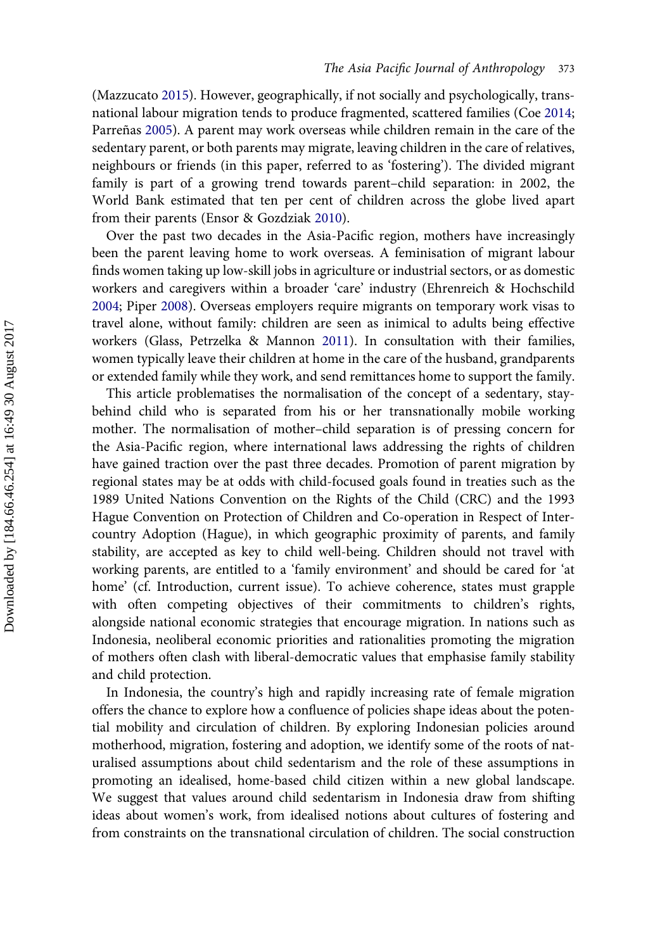<span id="page-2-0"></span>(Mazzucato [2015\)](#page-16-0). However, geographically, if not socially and psychologically, transnational labour migration tends to produce fragmented, scattered families (Coe [2014;](#page-15-0) Parreñas [2005\)](#page-16-0). A parent may work overseas while children remain in the care of the sedentary parent, or both parents may migrate, leaving children in the care of relatives, neighbours or friends (in this paper, referred to as 'fostering'). The divided migrant family is part of a growing trend towards parent–child separation: in 2002, the World Bank estimated that ten per cent of children across the globe lived apart from their parents (Ensor & Gozdziak [2010\)](#page-15-0).

Over the past two decades in the Asia-Pacific region, mothers have increasingly been the parent leaving home to work overseas. A feminisation of migrant labour finds women taking up low-skill jobs in agriculture or industrial sectors, or as domestic workers and caregivers within a broader 'care' industry (Ehrenreich & Hochschild [2004](#page-15-0); Piper [2008](#page-16-0)). Overseas employers require migrants on temporary work visas to travel alone, without family: children are seen as inimical to adults being effective workers (Glass, Petrzelka & Mannon [2011](#page-15-0)). In consultation with their families, women typically leave their children at home in the care of the husband, grandparents or extended family while they work, and send remittances home to support the family.

This article problematises the normalisation of the concept of a sedentary, staybehind child who is separated from his or her transnationally mobile working mother. The normalisation of mother–child separation is of pressing concern for the Asia-Pacific region, where international laws addressing the rights of children have gained traction over the past three decades. Promotion of parent migration by regional states may be at odds with child-focused goals found in treaties such as the 1989 United Nations Convention on the Rights of the Child (CRC) and the 1993 Hague Convention on Protection of Children and Co-operation in Respect of Intercountry Adoption (Hague), in which geographic proximity of parents, and family stability, are accepted as key to child well-being. Children should not travel with working parents, are entitled to a 'family environment' and should be cared for 'at home' (cf. Introduction, current issue). To achieve coherence, states must grapple with often competing objectives of their commitments to children's rights, alongside national economic strategies that encourage migration. In nations such as Indonesia, neoliberal economic priorities and rationalities promoting the migration of mothers often clash with liberal-democratic values that emphasise family stability and child protection.

In Indonesia, the country's high and rapidly increasing rate of female migration offers the chance to explore how a confluence of policies shape ideas about the potential mobility and circulation of children. By exploring Indonesian policies around motherhood, migration, fostering and adoption, we identify some of the roots of naturalised assumptions about child sedentarism and the role of these assumptions in promoting an idealised, home-based child citizen within a new global landscape. We suggest that values around child sedentarism in Indonesia draw from shifting ideas about women's work, from idealised notions about cultures of fostering and from constraints on the transnational circulation of children. The social construction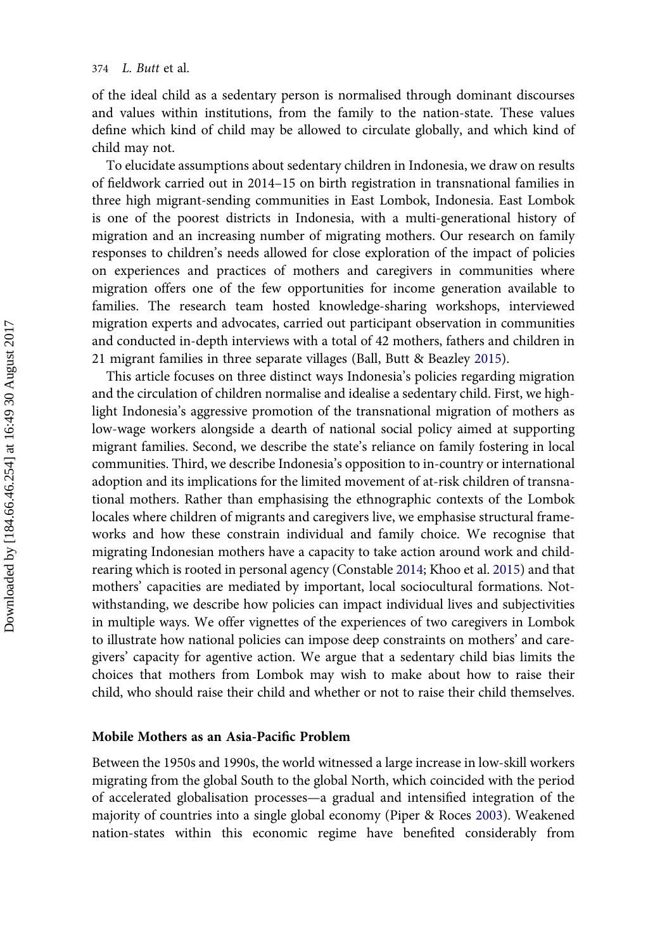<span id="page-3-0"></span>of the ideal child as a sedentary person is normalised through dominant discourses and values within institutions, from the family to the nation-state. These values define which kind of child may be allowed to circulate globally, and which kind of child may not.

To elucidate assumptions about sedentary children in Indonesia, we draw on results of fieldwork carried out in 2014–15 on birth registration in transnational families in three high migrant-sending communities in East Lombok, Indonesia. East Lombok is one of the poorest districts in Indonesia, with a multi-generational history of migration and an increasing number of migrating mothers. Our research on family responses to children's needs allowed for close exploration of the impact of policies on experiences and practices of mothers and caregivers in communities where migration offers one of the few opportunities for income generation available to families. The research team hosted knowledge-sharing workshops, interviewed migration experts and advocates, carried out participant observation in communities and conducted in-depth interviews with a total of 42 mothers, fathers and children in 21 migrant families in three separate villages (Ball, Butt & Beazley [2015](#page-14-0)).

This article focuses on three distinct ways Indonesia's policies regarding migration and the circulation of children normalise and idealise a sedentary child. First, we highlight Indonesia's aggressive promotion of the transnational migration of mothers as low-wage workers alongside a dearth of national social policy aimed at supporting migrant families. Second, we describe the state's reliance on family fostering in local communities. Third, we describe Indonesia's opposition to in-country or international adoption and its implications for the limited movement of at-risk children of transnational mothers. Rather than emphasising the ethnographic contexts of the Lombok locales where children of migrants and caregivers live, we emphasise structural frameworks and how these constrain individual and family choice. We recognise that migrating Indonesian mothers have a capacity to take action around work and childrearing which is rooted in personal agency (Constable [2014](#page-15-0); Khoo et al. [2015\)](#page-16-0) and that mothers' capacities are mediated by important, local sociocultural formations. Notwithstanding, we describe how policies can impact individual lives and subjectivities in multiple ways. We offer vignettes of the experiences of two caregivers in Lombok to illustrate how national policies can impose deep constraints on mothers' and caregivers' capacity for agentive action. We argue that a sedentary child bias limits the choices that mothers from Lombok may wish to make about how to raise their child, who should raise their child and whether or not to raise their child themselves.

#### Mobile Mothers as an Asia-Pacific Problem

Between the 1950s and 1990s, the world witnessed a large increase in low-skill workers migrating from the global South to the global North, which coincided with the period of accelerated globalisation processes—a gradual and intensified integration of the majority of countries into a single global economy (Piper & Roces [2003](#page-17-0)). Weakened nation-states within this economic regime have benefited considerably from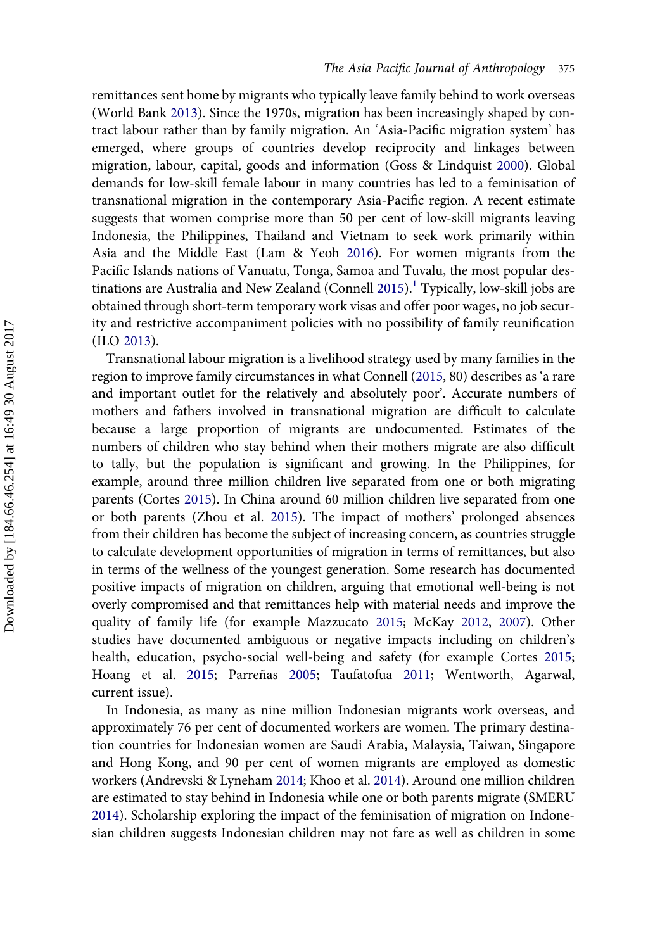<span id="page-4-0"></span>remittances sent home by migrants who typically leave family behind to work overseas (World Bank [2013](#page-17-0)). Since the 1970s, migration has been increasingly shaped by contract labour rather than by family migration. An 'Asia-Pacific migration system' has emerged, where groups of countries develop reciprocity and linkages between migration, labour, capital, goods and information (Goss & Lindquist [2000\)](#page-15-0). Global demands for low-skill female labour in many countries has led to a feminisation of transnational migration in the contemporary Asia-Pacific region. A recent estimate suggests that women comprise more than 50 per cent of low-skill migrants leaving Indonesia, the Philippines, Thailand and Vietnam to seek work primarily within Asia and the Middle East (Lam & Yeoh [2016](#page-16-0)). For women migrants from the Pacific Islands nations of Vanuatu, Tonga, Samoa and Tuvalu, the most popular des-tinations are Australia and New Zealand (Connell [2015](#page-15-0)).<sup>[1](#page-14-0)</sup> Typically, low-skill jobs are obtained through short-term temporary work visas and offer poor wages, no job security and restrictive accompaniment policies with no possibility of family reunification (ILO [2013\)](#page-16-0).

Transnational labour migration is a livelihood strategy used by many families in the region to improve family circumstances in what Connell ([2015,](#page-15-0) 80) describes as 'a rare and important outlet for the relatively and absolutely poor'. Accurate numbers of mothers and fathers involved in transnational migration are difficult to calculate because a large proportion of migrants are undocumented. Estimates of the numbers of children who stay behind when their mothers migrate are also difficult to tally, but the population is significant and growing. In the Philippines, for example, around three million children live separated from one or both migrating parents (Cortes [2015\)](#page-15-0). In China around 60 million children live separated from one or both parents (Zhou et al. [2015](#page-17-0)). The impact of mothers' prolonged absences from their children has become the subject of increasing concern, as countries struggle to calculate development opportunities of migration in terms of remittances, but also in terms of the wellness of the youngest generation. Some research has documented positive impacts of migration on children, arguing that emotional well-being is not overly compromised and that remittances help with material needs and improve the quality of family life (for example Mazzucato [2015](#page-16-0); McKay [2012](#page-16-0), [2007](#page-16-0)). Other studies have documented ambiguous or negative impacts including on children's health, education, psycho-social well-being and safety (for example Cortes [2015;](#page-15-0) Hoang et al. [2015](#page-16-0); Parreñas [2005](#page-16-0); Taufatofua [2011;](#page-17-0) Wentworth, Agarwal, current issue).

In Indonesia, as many as nine million Indonesian migrants work overseas, and approximately 76 per cent of documented workers are women. The primary destination countries for Indonesian women are Saudi Arabia, Malaysia, Taiwan, Singapore and Hong Kong, and 90 per cent of women migrants are employed as domestic workers (Andrevski & Lyneham [2014](#page-14-0); Khoo et al. [2014\)](#page-16-0). Around one million children are estimated to stay behind in Indonesia while one or both parents migrate (SMERU [2014](#page-17-0)). Scholarship exploring the impact of the feminisation of migration on Indonesian children suggests Indonesian children may not fare as well as children in some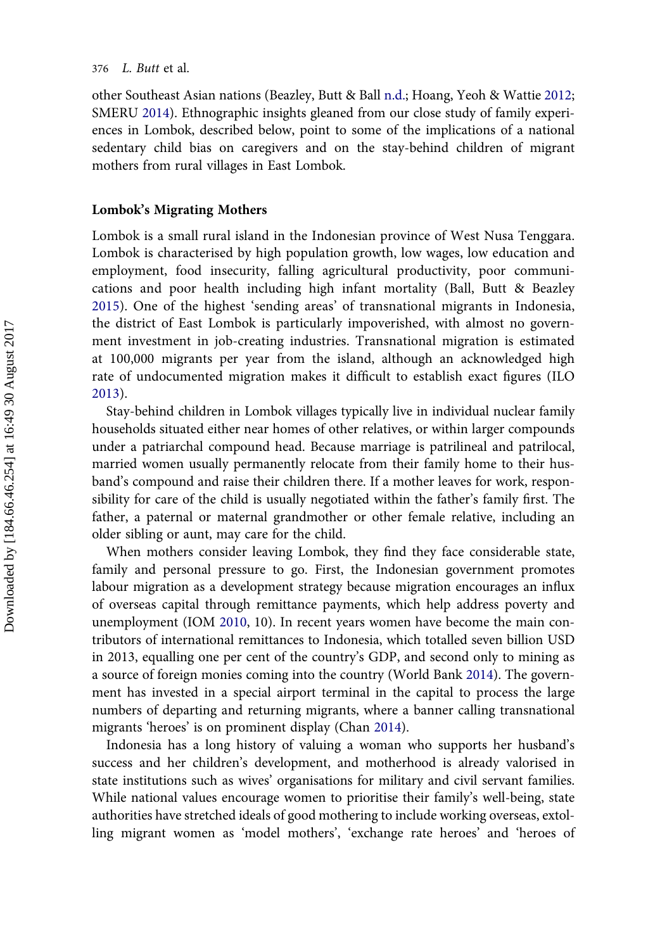<span id="page-5-0"></span>other Southeast Asian nations (Beazley, Butt & Ball [n.d.;](#page-15-0) Hoang, Yeoh & Wattie [2012;](#page-16-0) SMERU [2014](#page-17-0)). Ethnographic insights gleaned from our close study of family experiences in Lombok, described below, point to some of the implications of a national sedentary child bias on caregivers and on the stay-behind children of migrant mothers from rural villages in East Lombok.

#### Lombok's Migrating Mothers

Lombok is a small rural island in the Indonesian province of West Nusa Tenggara. Lombok is characterised by high population growth, low wages, low education and employment, food insecurity, falling agricultural productivity, poor communications and poor health including high infant mortality (Ball, Butt & Beazley [2015](#page-14-0)). One of the highest 'sending areas' of transnational migrants in Indonesia, the district of East Lombok is particularly impoverished, with almost no government investment in job-creating industries. Transnational migration is estimated at 100,000 migrants per year from the island, although an acknowledged high rate of undocumented migration makes it difficult to establish exact figures (ILO [2013](#page-16-0)).

Stay-behind children in Lombok villages typically live in individual nuclear family households situated either near homes of other relatives, or within larger compounds under a patriarchal compound head. Because marriage is patrilineal and patrilocal, married women usually permanently relocate from their family home to their husband's compound and raise their children there. If a mother leaves for work, responsibility for care of the child is usually negotiated within the father's family first. The father, a paternal or maternal grandmother or other female relative, including an older sibling or aunt, may care for the child.

When mothers consider leaving Lombok, they find they face considerable state, family and personal pressure to go. First, the Indonesian government promotes labour migration as a development strategy because migration encourages an influx of overseas capital through remittance payments, which help address poverty and unemployment (IOM [2010,](#page-16-0) 10). In recent years women have become the main contributors of international remittances to Indonesia, which totalled seven billion USD in 2013, equalling one per cent of the country's GDP, and second only to mining as a source of foreign monies coming into the country (World Bank [2014\)](#page-17-0). The government has invested in a special airport terminal in the capital to process the large numbers of departing and returning migrants, where a banner calling transnational migrants 'heroes' is on prominent display (Chan [2014\)](#page-15-0).

Indonesia has a long history of valuing a woman who supports her husband's success and her children's development, and motherhood is already valorised in state institutions such as wives' organisations for military and civil servant families. While national values encourage women to prioritise their family's well-being, state authorities have stretched ideals of good mothering to include working overseas, extolling migrant women as 'model mothers', 'exchange rate heroes' and 'heroes of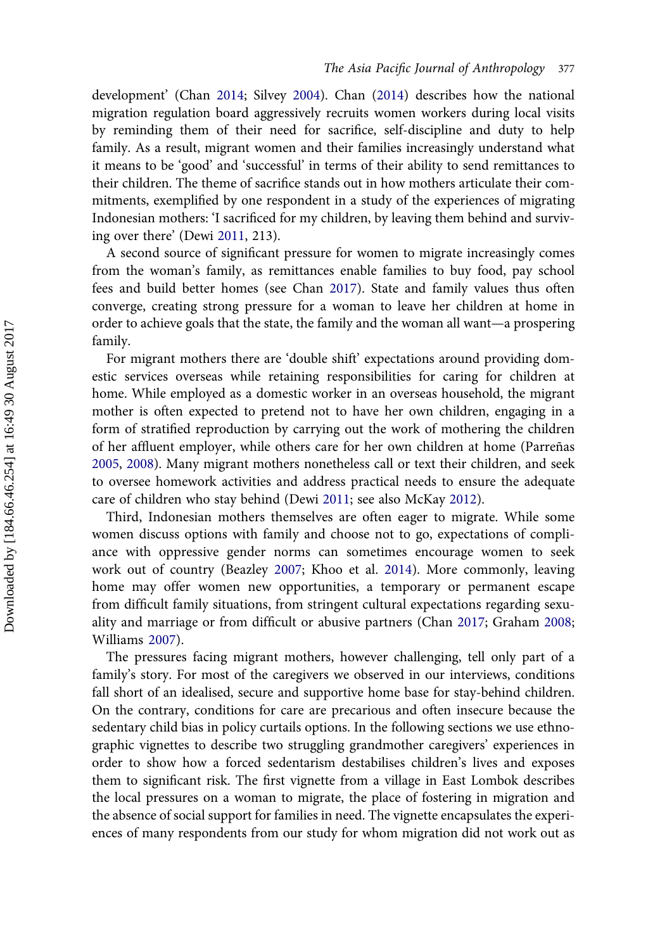<span id="page-6-0"></span>development' (Chan [2014](#page-15-0); Silvey [2004\)](#page-17-0). Chan ([2014\)](#page-15-0) describes how the national migration regulation board aggressively recruits women workers during local visits by reminding them of their need for sacrifice, self-discipline and duty to help family. As a result, migrant women and their families increasingly understand what it means to be 'good' and 'successful' in terms of their ability to send remittances to their children. The theme of sacrifice stands out in how mothers articulate their commitments, exemplified by one respondent in a study of the experiences of migrating Indonesian mothers: 'I sacrificed for my children, by leaving them behind and surviving over there' (Dewi [2011](#page-15-0), 213).

A second source of significant pressure for women to migrate increasingly comes from the woman's family, as remittances enable families to buy food, pay school fees and build better homes (see Chan [2017](#page-15-0)). State and family values thus often converge, creating strong pressure for a woman to leave her children at home in order to achieve goals that the state, the family and the woman all want—a prospering family.

For migrant mothers there are 'double shift' expectations around providing domestic services overseas while retaining responsibilities for caring for children at home. While employed as a domestic worker in an overseas household, the migrant mother is often expected to pretend not to have her own children, engaging in a form of stratified reproduction by carrying out the work of mothering the children of her affluent employer, while others care for her own children at home (Parreñas [2005](#page-16-0), [2008\)](#page-16-0). Many migrant mothers nonetheless call or text their children, and seek to oversee homework activities and address practical needs to ensure the adequate care of children who stay behind (Dewi [2011;](#page-15-0) see also McKay [2012\)](#page-16-0).

Third, Indonesian mothers themselves are often eager to migrate. While some women discuss options with family and choose not to go, expectations of compliance with oppressive gender norms can sometimes encourage women to seek work out of country (Beazley [2007](#page-15-0); Khoo et al. [2014\)](#page-16-0). More commonly, leaving home may offer women new opportunities, a temporary or permanent escape from difficult family situations, from stringent cultural expectations regarding sexuality and marriage or from difficult or abusive partners (Chan [2017;](#page-15-0) Graham [2008;](#page-15-0) Williams [2007](#page-17-0)).

The pressures facing migrant mothers, however challenging, tell only part of a family's story. For most of the caregivers we observed in our interviews, conditions fall short of an idealised, secure and supportive home base for stay-behind children. On the contrary, conditions for care are precarious and often insecure because the sedentary child bias in policy curtails options. In the following sections we use ethnographic vignettes to describe two struggling grandmother caregivers' experiences in order to show how a forced sedentarism destabilises children's lives and exposes them to significant risk. The first vignette from a village in East Lombok describes the local pressures on a woman to migrate, the place of fostering in migration and the absence of social support for families in need. The vignette encapsulates the experiences of many respondents from our study for whom migration did not work out as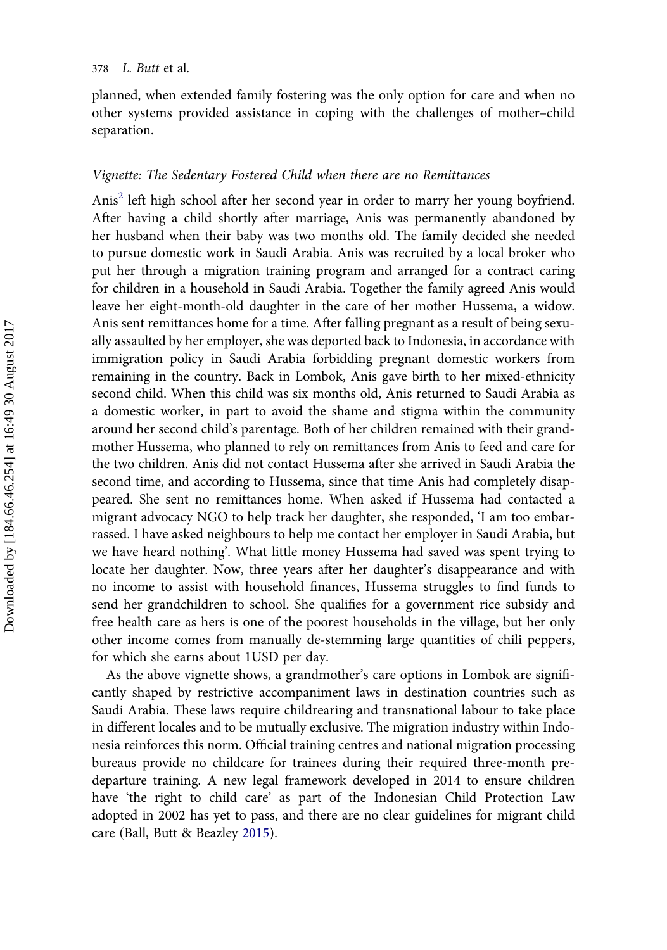planned, when extended family fostering was the only option for care and when no other systems provided assistance in coping with the challenges of mother–child separation.

#### Vignette: The Sedentary Fostered Child when there are no Remittances

Anis<sup>2</sup> left high school after her second year in order to marry her young boyfriend. After having a child shortly after marriage, Anis was permanently abandoned by her husband when their baby was two months old. The family decided she needed to pursue domestic work in Saudi Arabia. Anis was recruited by a local broker who put her through a migration training program and arranged for a contract caring for children in a household in Saudi Arabia. Together the family agreed Anis would leave her eight-month-old daughter in the care of her mother Hussema, a widow. Anis sent remittances home for a time. After falling pregnant as a result of being sexually assaulted by her employer, she was deported back to Indonesia, in accordance with immigration policy in Saudi Arabia forbidding pregnant domestic workers from remaining in the country. Back in Lombok, Anis gave birth to her mixed-ethnicity second child. When this child was six months old, Anis returned to Saudi Arabia as a domestic worker, in part to avoid the shame and stigma within the community around her second child's parentage. Both of her children remained with their grandmother Hussema, who planned to rely on remittances from Anis to feed and care for the two children. Anis did not contact Hussema after she arrived in Saudi Arabia the second time, and according to Hussema, since that time Anis had completely disappeared. She sent no remittances home. When asked if Hussema had contacted a migrant advocacy NGO to help track her daughter, she responded, 'I am too embarrassed. I have asked neighbours to help me contact her employer in Saudi Arabia, but we have heard nothing'. What little money Hussema had saved was spent trying to locate her daughter. Now, three years after her daughter's disappearance and with no income to assist with household finances, Hussema struggles to find funds to send her grandchildren to school. She qualifies for a government rice subsidy and free health care as hers is one of the poorest households in the village, but her only other income comes from manually de-stemming large quantities of chili peppers, for which she earns about 1USD per day.

As the above vignette shows, a grandmother's care options in Lombok are significantly shaped by restrictive accompaniment laws in destination countries such as Saudi Arabia. These laws require childrearing and transnational labour to take place in different locales and to be mutually exclusive. The migration industry within Indonesia reinforces this norm. Official training centres and national migration processing bureaus provide no childcare for trainees during their required three-month predeparture training. A new legal framework developed in 2014 to ensure children have 'the right to child care' as part of the Indonesian Child Protection Law adopted in 2002 has yet to pass, and there are no clear guidelines for migrant child care (Ball, Butt & Beazley [2015](#page-14-0)).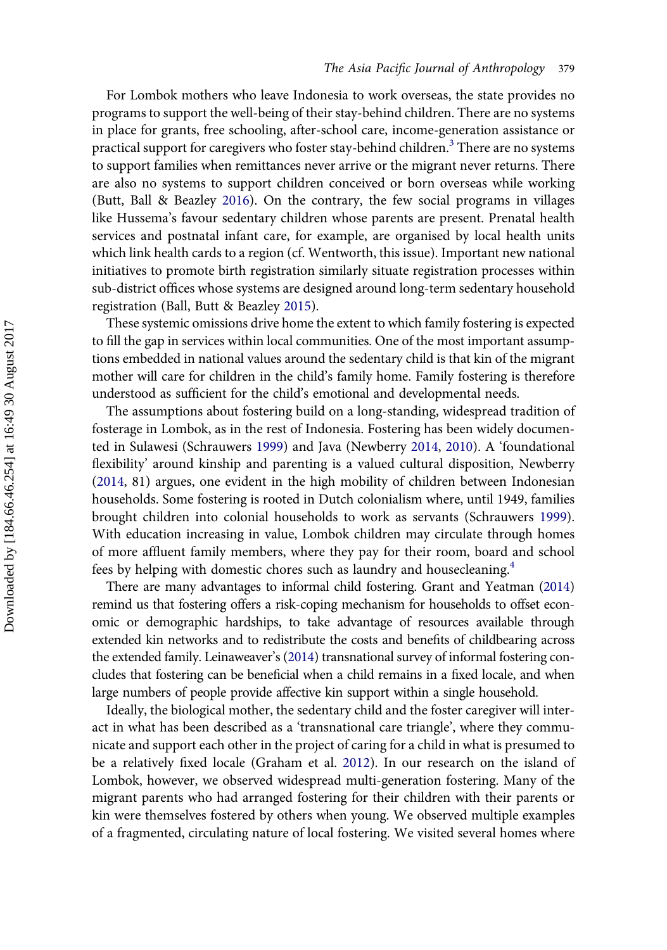<span id="page-8-0"></span>For Lombok mothers who leave Indonesia to work overseas, the state provides no programs to support the well-being of their stay-behind children. There are no systems in place for grants, free schooling, after-school care, income-generation assistance or practical support for caregivers who foster stay-behind children.<sup>3</sup> There are no systems to support families when remittances never arrive or the migrant never returns. There are also no systems to support children conceived or born overseas while working (Butt, Ball & Beazley [2016\)](#page-15-0). On the contrary, the few social programs in villages like Hussema's favour sedentary children whose parents are present. Prenatal health services and postnatal infant care, for example, are organised by local health units which link health cards to a region (cf. Wentworth, this issue). Important new national initiatives to promote birth registration similarly situate registration processes within sub-district offices whose systems are designed around long-term sedentary household registration (Ball, Butt & Beazley [2015](#page-14-0)).

These systemic omissions drive home the extent to which family fostering is expected to fill the gap in services within local communities. One of the most important assumptions embedded in national values around the sedentary child is that kin of the migrant mother will care for children in the child's family home. Family fostering is therefore understood as sufficient for the child's emotional and developmental needs.

The assumptions about fostering build on a long-standing, widespread tradition of fosterage in Lombok, as in the rest of Indonesia. Fostering has been widely documented in Sulawesi (Schrauwers [1999\)](#page-17-0) and Java (Newberry [2014](#page-16-0), [2010\)](#page-16-0). A 'foundational flexibility' around kinship and parenting is a valued cultural disposition, Newberry ([2014,](#page-16-0) 81) argues, one evident in the high mobility of children between Indonesian households. Some fostering is rooted in Dutch colonialism where, until 1949, families brought children into colonial households to work as servants (Schrauwers [1999](#page-17-0)). With education increasing in value, Lombok children may circulate through homes of more affluent family members, where they pay for their room, board and school fees by helping with domestic chores such as laundry and housecleaning.<sup>4</sup>

There are many advantages to informal child fostering. Grant and Yeatman [\(2014\)](#page-16-0) remind us that fostering offers a risk-coping mechanism for households to offset economic or demographic hardships, to take advantage of resources available through extended kin networks and to redistribute the costs and benefits of childbearing across the extended family. Leinaweaver's [\(2014](#page-16-0)) transnational survey of informal fostering concludes that fostering can be beneficial when a child remains in a fixed locale, and when large numbers of people provide affective kin support within a single household.

Ideally, the biological mother, the sedentary child and the foster caregiver will interact in what has been described as a 'transnational care triangle', where they communicate and support each other in the project of caring for a child in what is presumed to be a relatively fixed locale (Graham et al. [2012\)](#page-15-0). In our research on the island of Lombok, however, we observed widespread multi-generation fostering. Many of the migrant parents who had arranged fostering for their children with their parents or kin were themselves fostered by others when young. We observed multiple examples of a fragmented, circulating nature of local fostering. We visited several homes where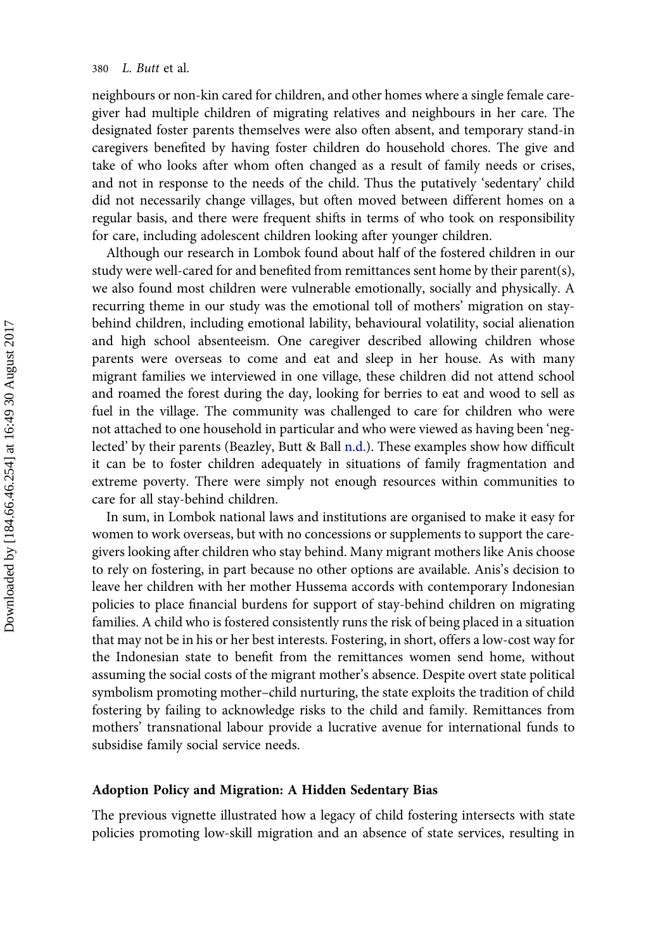neighbours or non-kin cared for children, and other homes where a single female caregiver had multiple children of migrating relatives and neighbours in her care. The designated foster parents themselves were also often absent, and temporary stand-in caregivers benefited by having foster children do household chores. The give and take of who looks after whom often changed as a result of family needs or crises, and not in response to the needs of the child. Thus the putatively 'sedentary' child did not necessarily change villages, but often moved between different homes on a regular basis, and there were frequent shifts in terms of who took on responsibility for care, including adolescent children looking after younger children.

Although our research in Lombok found about half of the fostered children in our study were well-cared for and benefited from remittances sent home by their parent(s), we also found most children were vulnerable emotionally, socially and physically. A recurring theme in our study was the emotional toll of mothers' migration on staybehind children, including emotional lability, behavioural volatility, social alienation and high school absenteeism. One caregiver described allowing children whose parents were overseas to come and eat and sleep in her house. As with many migrant families we interviewed in one village, these children did not attend school and roamed the forest during the day, looking for berries to eat and wood to sell as fuel in the village. The community was challenged to care for children who were not attached to one household in particular and who were viewed as having been 'neglected' by their parents (Beazley, Butt & Ball [n.d.\)](#page-15-0). These examples show how difficult it can be to foster children adequately in situations of family fragmentation and extreme poverty. There were simply not enough resources within communities to care for all stay-behind children.

In sum, in Lombok national laws and institutions are organised to make it easy for women to work overseas, but with no concessions or supplements to support the caregivers looking after children who stay behind. Many migrant mothers like Anis choose to rely on fostering, in part because no other options are available. Anis's decision to leave her children with her mother Hussema accords with contemporary Indonesian policies to place financial burdens for support of stay-behind children on migrating families. A child who is fostered consistently runs the risk of being placed in a situation that may not be in his or her best interests. Fostering, in short, offers a low-cost way for the Indonesian state to benefit from the remittances women send home, without assuming the social costs of the migrant mother's absence. Despite overt state political symbolism promoting mother–child nurturing, the state exploits the tradition of child fostering by failing to acknowledge risks to the child and family. Remittances from mothers' transnational labour provide a lucrative avenue for international funds to subsidise family social service needs.

### Adoption Policy and Migration: A Hidden Sedentary Bias

The previous vignette illustrated how a legacy of child fostering intersects with state policies promoting low-skill migration and an absence of state services, resulting in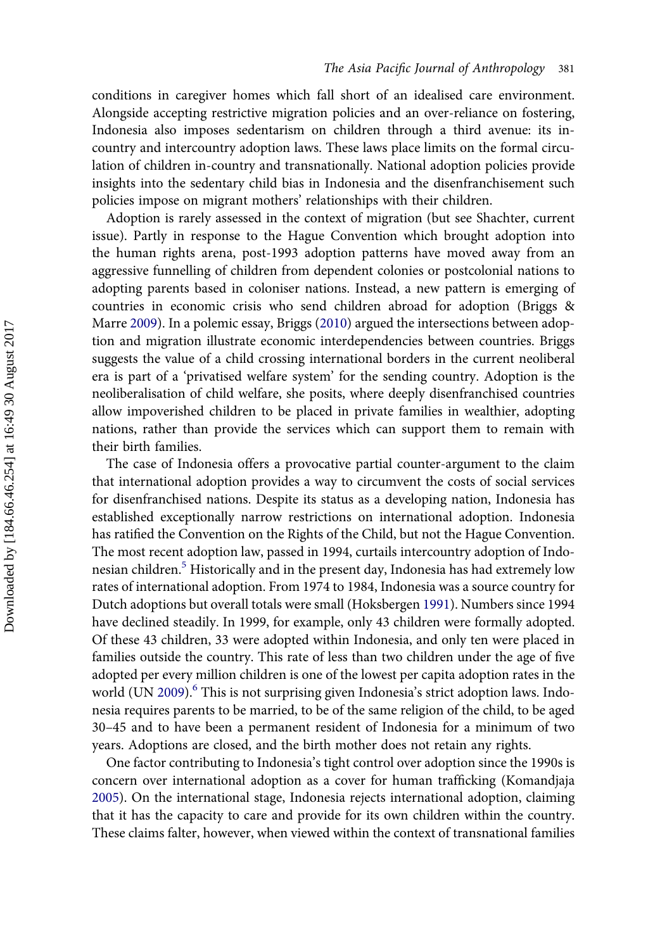<span id="page-10-0"></span>conditions in caregiver homes which fall short of an idealised care environment. Alongside accepting restrictive migration policies and an over-reliance on fostering, Indonesia also imposes sedentarism on children through a third avenue: its incountry and intercountry adoption laws. These laws place limits on the formal circulation of children in-country and transnationally. National adoption policies provide insights into the sedentary child bias in Indonesia and the disenfranchisement such policies impose on migrant mothers' relationships with their children.

Adoption is rarely assessed in the context of migration (but see Shachter, current issue). Partly in response to the Hague Convention which brought adoption into the human rights arena, post-1993 adoption patterns have moved away from an aggressive funnelling of children from dependent colonies or postcolonial nations to adopting parents based in coloniser nations. Instead, a new pattern is emerging of countries in economic crisis who send children abroad for adoption (Briggs & Marre [2009](#page-15-0)). In a polemic essay, Briggs ([2010\)](#page-15-0) argued the intersections between adoption and migration illustrate economic interdependencies between countries. Briggs suggests the value of a child crossing international borders in the current neoliberal era is part of a 'privatised welfare system' for the sending country. Adoption is the neoliberalisation of child welfare, she posits, where deeply disenfranchised countries allow impoverished children to be placed in private families in wealthier, adopting nations, rather than provide the services which can support them to remain with their birth families.

The case of Indonesia offers a provocative partial counter-argument to the claim that international adoption provides a way to circumvent the costs of social services for disenfranchised nations. Despite its status as a developing nation, Indonesia has established exceptionally narrow restrictions on international adoption. Indonesia has ratified the Convention on the Rights of the Child, but not the Hague Convention. The most recent adoption law, passed in 1994, curtails intercountry adoption of Indonesian children.<sup>5</sup> Historically and in the present day, Indonesia has had extremely low rates of international adoption. From 1974 to 1984, Indonesia was a source country for Dutch adoptions but overall totals were small (Hoksbergen [1991\)](#page-16-0). Numbers since 1994 have declined steadily. In 1999, for example, only 43 children were formally adopted. Of these 43 children, 33 were adopted within Indonesia, and only ten were placed in families outside the country. This rate of less than two children under the age of five adopted per every million children is one of the lowest per capita adoption rates in the world (UN [2009](#page-17-0)).<sup>[6](#page-14-0)</sup> This is not surprising given Indonesia's strict adoption laws. Indonesia requires parents to be married, to be of the same religion of the child, to be aged 30–45 and to have been a permanent resident of Indonesia for a minimum of two years. Adoptions are closed, and the birth mother does not retain any rights.

One factor contributing to Indonesia's tight control over adoption since the 1990s is concern over international adoption as a cover for human trafficking (Komandjaja [2005](#page-16-0)). On the international stage, Indonesia rejects international adoption, claiming that it has the capacity to care and provide for its own children within the country. These claims falter, however, when viewed within the context of transnational families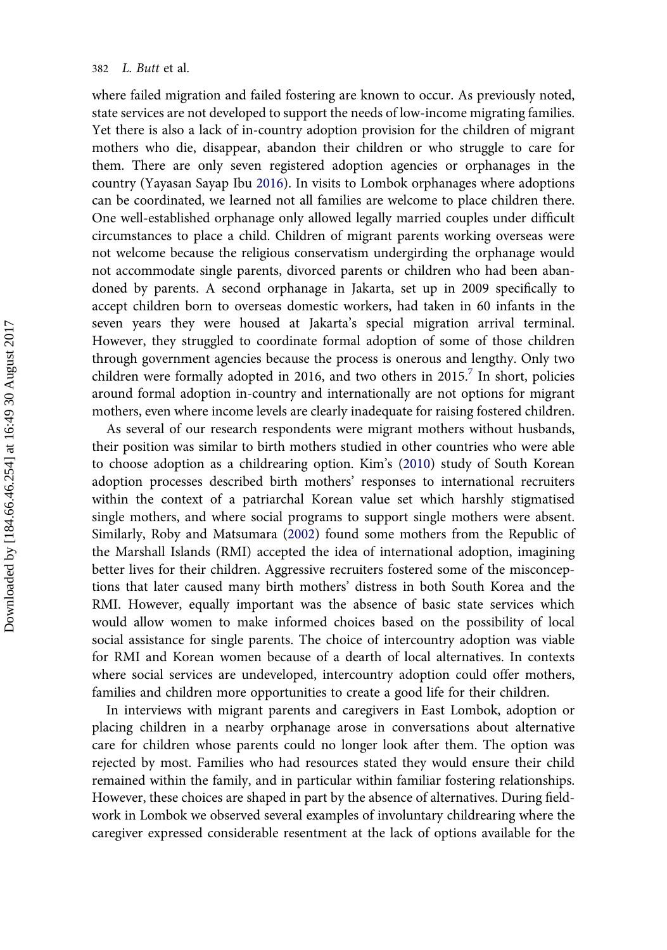<span id="page-11-0"></span>where failed migration and failed fostering are known to occur. As previously noted, state services are not developed to support the needs of low-income migrating families. Yet there is also a lack of in-country adoption provision for the children of migrant mothers who die, disappear, abandon their children or who struggle to care for them. There are only seven registered adoption agencies or orphanages in the country (Yayasan Sayap Ibu [2016\)](#page-17-0). In visits to Lombok orphanages where adoptions can be coordinated, we learned not all families are welcome to place children there. One well-established orphanage only allowed legally married couples under difficult circumstances to place a child. Children of migrant parents working overseas were not welcome because the religious conservatism undergirding the orphanage would not accommodate single parents, divorced parents or children who had been abandoned by parents. A second orphanage in Jakarta, set up in 2009 specifically to accept children born to overseas domestic workers, had taken in 60 infants in the seven years they were housed at Jakarta's special migration arrival terminal. However, they struggled to coordinate formal adoption of some of those children through government agencies because the process is onerous and lengthy. Only two children were formally adopted in 2016, and two others in 2015.<sup>7</sup> In short, policies around formal adoption in-country and internationally are not options for migrant mothers, even where income levels are clearly inadequate for raising fostered children.

As several of our research respondents were migrant mothers without husbands, their position was similar to birth mothers studied in other countries who were able to choose adoption as a childrearing option. Kim's [\(2010](#page-16-0)) study of South Korean adoption processes described birth mothers' responses to international recruiters within the context of a patriarchal Korean value set which harshly stigmatised single mothers, and where social programs to support single mothers were absent. Similarly, Roby and Matsumara ([2002\)](#page-17-0) found some mothers from the Republic of the Marshall Islands (RMI) accepted the idea of international adoption, imagining better lives for their children. Aggressive recruiters fostered some of the misconceptions that later caused many birth mothers' distress in both South Korea and the RMI. However, equally important was the absence of basic state services which would allow women to make informed choices based on the possibility of local social assistance for single parents. The choice of intercountry adoption was viable for RMI and Korean women because of a dearth of local alternatives. In contexts where social services are undeveloped, intercountry adoption could offer mothers, families and children more opportunities to create a good life for their children.

In interviews with migrant parents and caregivers in East Lombok, adoption or placing children in a nearby orphanage arose in conversations about alternative care for children whose parents could no longer look after them. The option was rejected by most. Families who had resources stated they would ensure their child remained within the family, and in particular within familiar fostering relationships. However, these choices are shaped in part by the absence of alternatives. During fieldwork in Lombok we observed several examples of involuntary childrearing where the caregiver expressed considerable resentment at the lack of options available for the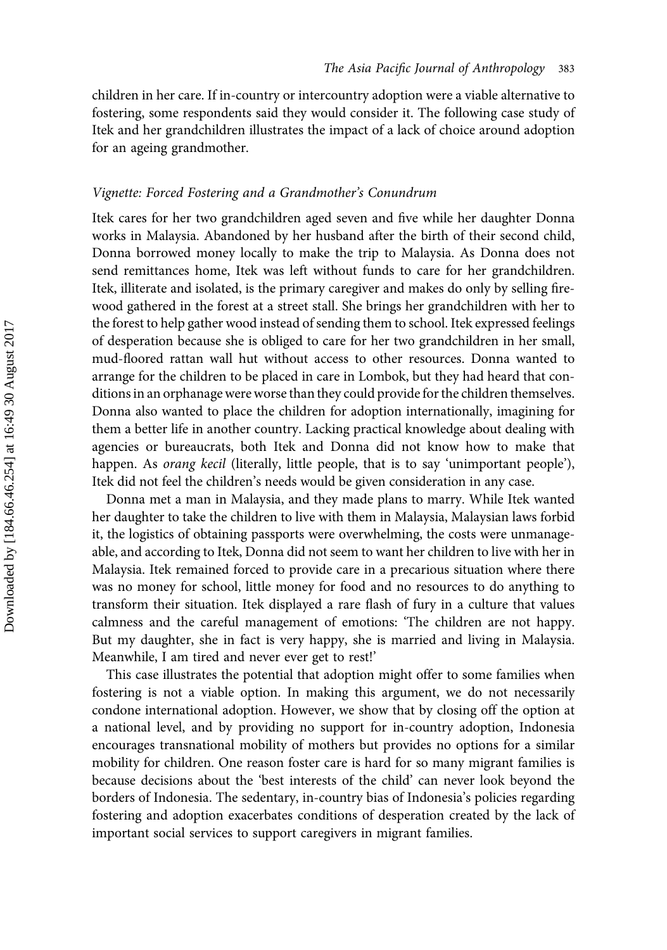children in her care. If in-country or intercountry adoption were a viable alternative to fostering, some respondents said they would consider it. The following case study of Itek and her grandchildren illustrates the impact of a lack of choice around adoption for an ageing grandmother.

#### Vignette: Forced Fostering and a Grandmother's Conundrum

Itek cares for her two grandchildren aged seven and five while her daughter Donna works in Malaysia. Abandoned by her husband after the birth of their second child, Donna borrowed money locally to make the trip to Malaysia. As Donna does not send remittances home, Itek was left without funds to care for her grandchildren. Itek, illiterate and isolated, is the primary caregiver and makes do only by selling firewood gathered in the forest at a street stall. She brings her grandchildren with her to the forest to help gather wood instead of sending them to school. Itek expressed feelings of desperation because she is obliged to care for her two grandchildren in her small, mud-floored rattan wall hut without access to other resources. Donna wanted to arrange for the children to be placed in care in Lombok, but they had heard that conditions in an orphanage were worse than they could provide for the children themselves. Donna also wanted to place the children for adoption internationally, imagining for them a better life in another country. Lacking practical knowledge about dealing with agencies or bureaucrats, both Itek and Donna did not know how to make that happen. As *orang kecil* (literally, little people, that is to say 'unimportant people'), Itek did not feel the children's needs would be given consideration in any case.

Donna met a man in Malaysia, and they made plans to marry. While Itek wanted her daughter to take the children to live with them in Malaysia, Malaysian laws forbid it, the logistics of obtaining passports were overwhelming, the costs were unmanageable, and according to Itek, Donna did not seem to want her children to live with her in Malaysia. Itek remained forced to provide care in a precarious situation where there was no money for school, little money for food and no resources to do anything to transform their situation. Itek displayed a rare flash of fury in a culture that values calmness and the careful management of emotions: 'The children are not happy. But my daughter, she in fact is very happy, she is married and living in Malaysia. Meanwhile, I am tired and never ever get to rest!'

This case illustrates the potential that adoption might offer to some families when fostering is not a viable option. In making this argument, we do not necessarily condone international adoption. However, we show that by closing off the option at a national level, and by providing no support for in-country adoption, Indonesia encourages transnational mobility of mothers but provides no options for a similar mobility for children. One reason foster care is hard for so many migrant families is because decisions about the 'best interests of the child' can never look beyond the borders of Indonesia. The sedentary, in-country bias of Indonesia's policies regarding fostering and adoption exacerbates conditions of desperation created by the lack of important social services to support caregivers in migrant families.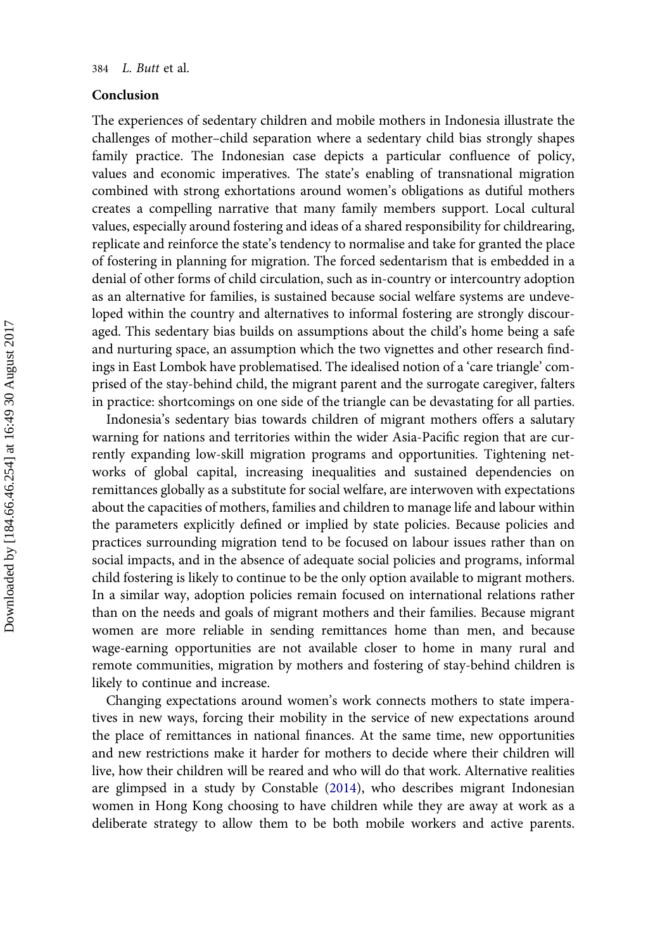#### Conclusion

The experiences of sedentary children and mobile mothers in Indonesia illustrate the challenges of mother–child separation where a sedentary child bias strongly shapes family practice. The Indonesian case depicts a particular confluence of policy, values and economic imperatives. The state's enabling of transnational migration combined with strong exhortations around women's obligations as dutiful mothers creates a compelling narrative that many family members support. Local cultural values, especially around fostering and ideas of a shared responsibility for childrearing, replicate and reinforce the state's tendency to normalise and take for granted the place of fostering in planning for migration. The forced sedentarism that is embedded in a denial of other forms of child circulation, such as in-country or intercountry adoption as an alternative for families, is sustained because social welfare systems are undeveloped within the country and alternatives to informal fostering are strongly discouraged. This sedentary bias builds on assumptions about the child's home being a safe and nurturing space, an assumption which the two vignettes and other research findings in East Lombok have problematised. The idealised notion of a 'care triangle' comprised of the stay-behind child, the migrant parent and the surrogate caregiver, falters in practice: shortcomings on one side of the triangle can be devastating for all parties.

Indonesia's sedentary bias towards children of migrant mothers offers a salutary warning for nations and territories within the wider Asia-Pacific region that are currently expanding low-skill migration programs and opportunities. Tightening networks of global capital, increasing inequalities and sustained dependencies on remittances globally as a substitute for social welfare, are interwoven with expectations about the capacities of mothers, families and children to manage life and labour within the parameters explicitly defined or implied by state policies. Because policies and practices surrounding migration tend to be focused on labour issues rather than on social impacts, and in the absence of adequate social policies and programs, informal child fostering is likely to continue to be the only option available to migrant mothers. In a similar way, adoption policies remain focused on international relations rather than on the needs and goals of migrant mothers and their families. Because migrant women are more reliable in sending remittances home than men, and because wage-earning opportunities are not available closer to home in many rural and remote communities, migration by mothers and fostering of stay-behind children is likely to continue and increase.

Changing expectations around women's work connects mothers to state imperatives in new ways, forcing their mobility in the service of new expectations around the place of remittances in national finances. At the same time, new opportunities and new restrictions make it harder for mothers to decide where their children will live, how their children will be reared and who will do that work. Alternative realities are glimpsed in a study by Constable ([2014\)](#page-15-0), who describes migrant Indonesian women in Hong Kong choosing to have children while they are away at work as a deliberate strategy to allow them to be both mobile workers and active parents.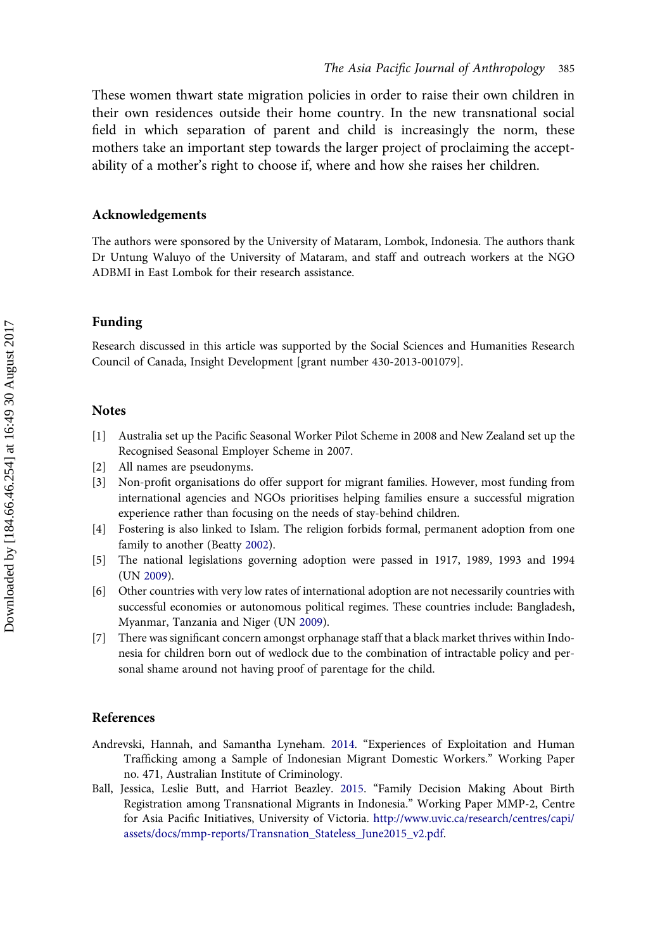<span id="page-14-0"></span>These women thwart state migration policies in order to raise their own children in their own residences outside their home country. In the new transnational social field in which separation of parent and child is increasingly the norm, these mothers take an important step towards the larger project of proclaiming the acceptability of a mother's right to choose if, where and how she raises her children.

#### Acknowledgements

The authors were sponsored by the University of Mataram, Lombok, Indonesia. The authors thank Dr Untung Waluyo of the University of Mataram, and staff and outreach workers at the NGO ADBMI in East Lombok for their research assistance.

#### Funding

Research discussed in this article was supported by the Social Sciences and Humanities Research Council of Canada, Insight Development [grant number 430-2013-001079].

#### **Notes**

- [1] Australia set up the Pacific Seasonal Worker Pilot Scheme in 2008 and New Zealand set up the Recognised Seasonal Employer Scheme in 2007.
- [2] All names are pseudonyms.
- [3] Non-profit organisations do offer support for migrant families. However, most funding from international agencies and NGOs prioritises helping families ensure a successful migration experience rather than focusing on the needs of stay-behind children.
- [4] Fostering is also linked to Islam. The religion forbids formal, permanent adoption from one family to another (Beatty [2002\)](#page-15-0).
- [5] The national legislations governing adoption were passed in 1917, 1989, 1993 and 1994 (UN [2009\)](#page-17-0).
- [6] Other countries with very low rates of international adoption are not necessarily countries with successful economies or autonomous political regimes. These countries include: Bangladesh, Myanmar, Tanzania and Niger (UN [2009\)](#page-17-0).
- [7] There was significant concern amongst orphanage staff that a black market thrives within Indonesia for children born out of wedlock due to the combination of intractable policy and personal shame around not having proof of parentage for the child.

#### References

- Andrevski, Hannah, and Samantha Lyneham. [2014](#page-4-0). "Experiences of Exploitation and Human Trafficking among a Sample of Indonesian Migrant Domestic Workers." Working Paper no. 471, Australian Institute of Criminology.
- Ball, Jessica, Leslie Butt, and Harriot Beazley. [2015](#page-3-0). "Family Decision Making About Birth Registration among Transnational Migrants in Indonesia." Working Paper MMP-2, Centre for Asia Pacific Initiatives, University of Victoria. [http://www.uvic.ca/research/centres/capi/](http://www.uvic.ca/research/centres/capi/assets/docs/mmp-reports/Transnation_Stateless_June2015_v2.pdf) [assets/docs/mmp-reports/Transnation\\_Stateless\\_June2015\\_v2.pdf.](http://www.uvic.ca/research/centres/capi/assets/docs/mmp-reports/Transnation_Stateless_June2015_v2.pdf)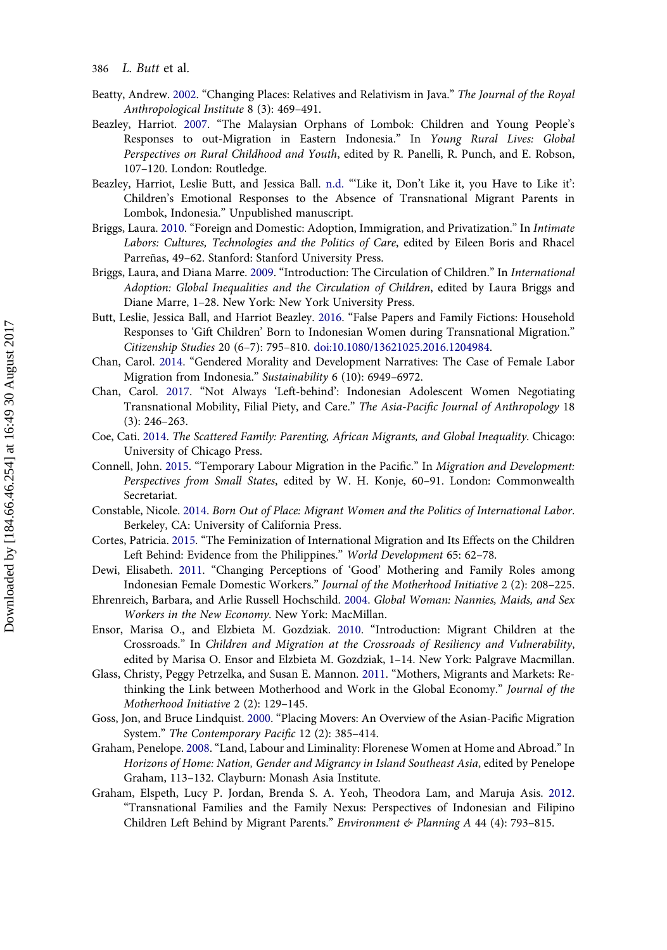- <span id="page-15-0"></span>Beatty, Andrew. [2002](#page-14-0). "Changing Places: Relatives and Relativism in Java." The Journal of the Royal Anthropological Institute 8 (3): 469–491.
- Beazley, Harriot. [2007](#page-6-0). "The Malaysian Orphans of Lombok: Children and Young People's Responses to out-Migration in Eastern Indonesia." In Young Rural Lives: Global Perspectives on Rural Childhood and Youth, edited by R. Panelli, R. Punch, and E. Robson, 107–120. London: Routledge.
- Beazley, Harriot, Leslie Butt, and Jessica Ball. [n.d.](#page-5-0) "'Like it, Don't Like it, you Have to Like it': Children's Emotional Responses to the Absence of Transnational Migrant Parents in Lombok, Indonesia." Unpublished manuscript.
- Briggs, Laura. [2010](#page-10-0). "Foreign and Domestic: Adoption, Immigration, and Privatization." In Intimate Labors: Cultures, Technologies and the Politics of Care, edited by Eileen Boris and Rhacel Parreñas, 49–62. Stanford: Stanford University Press.
- Briggs, Laura, and Diana Marre. [2009](#page-10-0). "Introduction: The Circulation of Children." In International Adoption: Global Inequalities and the Circulation of Children, edited by Laura Briggs and Diane Marre, 1–28. New York: New York University Press.
- Butt, Leslie, Jessica Ball, and Harriot Beazley. [2016.](#page-8-0) "False Papers and Family Fictions: Household Responses to 'Gift Children' Born to Indonesian Women during Transnational Migration." Citizenship Studies 20 (6–7): 795–810. [doi:10.1080/13621025.2016.1204984](https://doi.org/10.1080/13621025.2016.1204984).
- Chan, Carol. [2014](#page-5-0). "Gendered Morality and Development Narratives: The Case of Female Labor Migration from Indonesia." Sustainability 6 (10): 6949–6972.
- Chan, Carol. [2017](#page-6-0). "Not Always 'Left-behind': Indonesian Adolescent Women Negotiating Transnational Mobility, Filial Piety, and Care." The Asia-Pacific Journal of Anthropology 18 (3): 246–263.
- Coe, Cati. [2014](#page-2-0). The Scattered Family: Parenting, African Migrants, and Global Inequality. Chicago: University of Chicago Press.
- Connell, John. [2015.](#page-4-0) "Temporary Labour Migration in the Pacific." In Migration and Development: Perspectives from Small States, edited by W. H. Konje, 60–91. London: Commonwealth Secretariat.
- Constable, Nicole. [2014.](#page-3-0) Born Out of Place: Migrant Women and the Politics of International Labor. Berkeley, CA: University of California Press.
- Cortes, Patricia. [2015](#page-4-0). "The Feminization of International Migration and Its Effects on the Children Left Behind: Evidence from the Philippines." World Development 65: 62–78.
- Dewi, Elisabeth. [2011.](#page-6-0) "Changing Perceptions of 'Good' Mothering and Family Roles among Indonesian Female Domestic Workers." Journal of the Motherhood Initiative 2 (2): 208–225.
- Ehrenreich, Barbara, and Arlie Russell Hochschild. [2004.](#page-2-0) Global Woman: Nannies, Maids, and Sex Workers in the New Economy. New York: MacMillan.
- Ensor, Marisa O., and Elzbieta M. Gozdziak. [2010](#page-2-0). "Introduction: Migrant Children at the Crossroads." In Children and Migration at the Crossroads of Resiliency and Vulnerability, edited by Marisa O. Ensor and Elzbieta M. Gozdziak, 1–14. New York: Palgrave Macmillan.
- Glass, Christy, Peggy Petrzelka, and Susan E. Mannon. [2011](#page-2-0). "Mothers, Migrants and Markets: Rethinking the Link between Motherhood and Work in the Global Economy." Journal of the Motherhood Initiative 2 (2): 129–145.
- Goss, Jon, and Bruce Lindquist. [2000](#page-4-0). "Placing Movers: An Overview of the Asian-Pacific Migration System." The Contemporary Pacific 12 (2): 385–414.
- Graham, Penelope. [2008](#page-6-0). "Land, Labour and Liminality: Florenese Women at Home and Abroad." In Horizons of Home: Nation, Gender and Migrancy in Island Southeast Asia, edited by Penelope Graham, 113–132. Clayburn: Monash Asia Institute.
- Graham, Elspeth, Lucy P. Jordan, Brenda S. A. Yeoh, Theodora Lam, and Maruja Asis. [2012](#page-8-0). "Transnational Families and the Family Nexus: Perspectives of Indonesian and Filipino Children Left Behind by Migrant Parents." Environment & Planning A 44 (4): 793-815.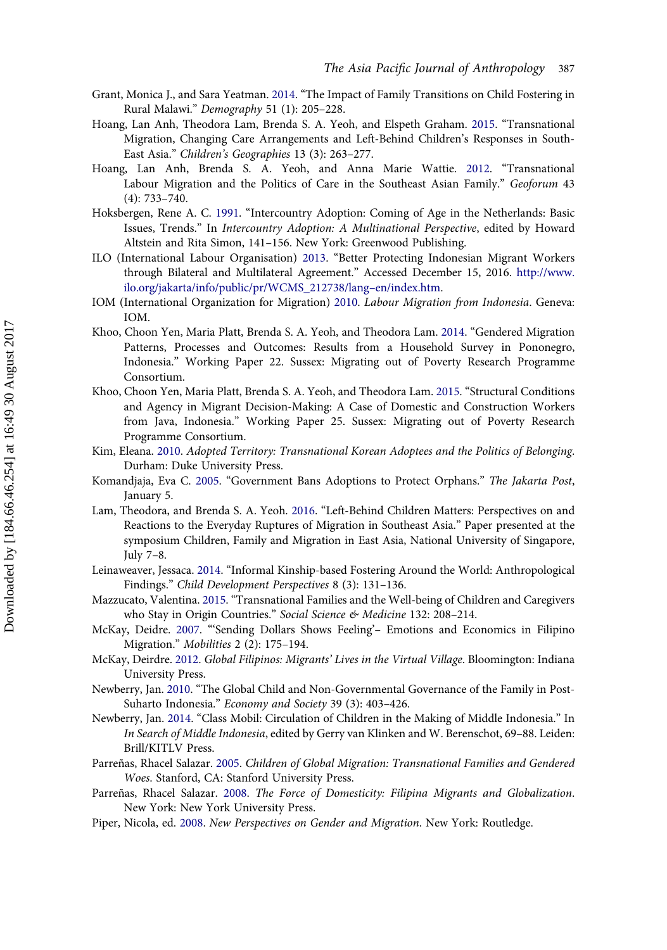- <span id="page-16-0"></span>Grant, Monica J., and Sara Yeatman. [2014](#page-8-0). "The Impact of Family Transitions on Child Fostering in Rural Malawi." Demography 51 (1): 205–228.
- Hoang, Lan Anh, Theodora Lam, Brenda S. A. Yeoh, and Elspeth Graham. [2015](#page-4-0). "Transnational Migration, Changing Care Arrangements and Left-Behind Children's Responses in South-East Asia." Children's Geographies 13 (3): 263–277.
- Hoang, Lan Anh, Brenda S. A. Yeoh, and Anna Marie Wattie. [2012](#page-5-0). "Transnational Labour Migration and the Politics of Care in the Southeast Asian Family." Geoforum 43 (4): 733–740.
- Hoksbergen, Rene A. C. [1991.](#page-10-0) "Intercountry Adoption: Coming of Age in the Netherlands: Basic Issues, Trends." In Intercountry Adoption: A Multinational Perspective, edited by Howard Altstein and Rita Simon, 141–156. New York: Greenwood Publishing.
- ILO (International Labour Organisation) [2013](#page-4-0). "Better Protecting Indonesian Migrant Workers through Bilateral and Multilateral Agreement." Accessed December 15, 2016. [http://www.](http://www.ilo.org/jakarta/info/public/pr/WCMS_212738/lang--en/index.htm) [ilo.org/jakarta/info/public/pr/WCMS\\_212738/lang](http://www.ilo.org/jakarta/info/public/pr/WCMS_212738/lang--en/index.htm)–en/index.htm.
- IOM (International Organization for Migration) [2010.](#page-5-0) Labour Migration from Indonesia. Geneva: IOM.
- Khoo, Choon Yen, Maria Platt, Brenda S. A. Yeoh, and Theodora Lam. [2014.](#page-4-0) "Gendered Migration Patterns, Processes and Outcomes: Results from a Household Survey in Pononegro, Indonesia." Working Paper 22. Sussex: Migrating out of Poverty Research Programme Consortium.
- Khoo, Choon Yen, Maria Platt, Brenda S. A. Yeoh, and Theodora Lam. [2015.](#page-3-0) "Structural Conditions and Agency in Migrant Decision-Making: A Case of Domestic and Construction Workers from Java, Indonesia." Working Paper 25. Sussex: Migrating out of Poverty Research Programme Consortium.
- Kim, Eleana. [2010.](#page-11-0) Adopted Territory: Transnational Korean Adoptees and the Politics of Belonging. Durham: Duke University Press.
- Komandjaja, Eva C. [2005](#page-10-0). "Government Bans Adoptions to Protect Orphans." The Jakarta Post, January 5.
- Lam, Theodora, and Brenda S. A. Yeoh. [2016.](#page-4-0) "Left-Behind Children Matters: Perspectives on and Reactions to the Everyday Ruptures of Migration in Southeast Asia." Paper presented at the symposium Children, Family and Migration in East Asia, National University of Singapore, July 7–8.
- Leinaweaver, Jessaca. [2014](#page-8-0). "Informal Kinship-based Fostering Around the World: Anthropological Findings." Child Development Perspectives 8 (3): 131–136.
- Mazzucato, Valentina. [2015](#page-1-0). "Transnational Families and the Well-being of Children and Caregivers who Stay in Origin Countries." Social Science & Medicine 132: 208-214.
- McKay, Deidre. [2007.](#page-4-0) "'Sending Dollars Shows Feeling'– Emotions and Economics in Filipino Migration." Mobilities 2 (2): 175–194.
- McKay, Deirdre. [2012.](#page-4-0) Global Filipinos: Migrants' Lives in the Virtual Village. Bloomington: Indiana University Press.
- Newberry, Jan. [2010.](#page-8-0) "The Global Child and Non-Governmental Governance of the Family in Post-Suharto Indonesia." Economy and Society 39 (3): 403–426.
- Newberry, Jan. [2014](#page-8-0). "Class Mobil: Circulation of Children in the Making of Middle Indonesia." In In Search of Middle Indonesia, edited by Gerry van Klinken and W. Berenschot, 69–88. Leiden: Brill/KITLV Press.
- Parreñas, Rhacel Salazar. [2005](#page-2-0). Children of Global Migration: Transnational Families and Gendered Woes. Stanford, CA: Stanford University Press.
- Parreñas, Rhacel Salazar. [2008.](#page-6-0) The Force of Domesticity: Filipina Migrants and Globalization. New York: New York University Press.
- Piper, Nicola, ed. [2008](#page-2-0). New Perspectives on Gender and Migration. New York: Routledge.